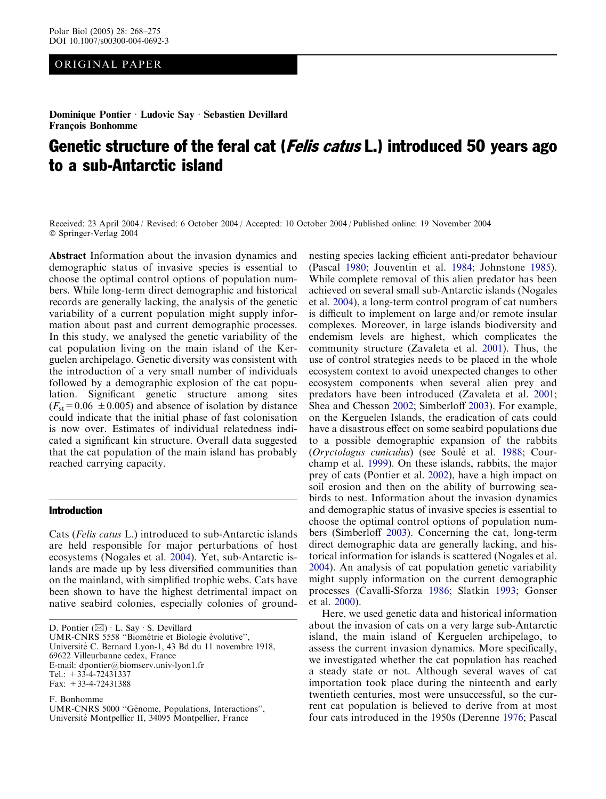# ORIGINAL PAPER

Dominique Pontier · Ludovic Say · Sebastien Devillard François Bonhomme

# Genetic structure of the feral cat (*Felis catus* L.) introduced 50 years ago to a sub-Antarctic island

Received: 23 April 2004 / Revised: 6 October 2004 / Accepted: 10 October 2004 / Published online: 19 November 2004 Springer-Verlag 2004

Abstract Information about the invasion dynamics and demographic status of invasive species is essential to choose the optimal control options of population numbers. While long-term direct demographic and historical records are generally lacking, the analysis of the genetic variability of a current population might supply information about past and current demographic processes. In this study, we analysed the genetic variability of the cat population living on the main island of the Kerguelen archipelago. Genetic diversity was consistent with the introduction of a very small number of individuals followed by a demographic explosion of the cat population. Significant genetic structure among sites  $(F<sub>st</sub>=0.06 \pm 0.005)$  and absence of isolation by distance could indicate that the initial phase of fast colonisation is now over. Estimates of individual relatedness indicated a significant kin structure. Overall data suggested that the cat population of the main island has probably reached carrying capacity.

# Introduction

Cats (Felis catus L.) introduced to sub-Antarctic islands are held responsible for major perturbations of host ecosystems (Nogales et al. [2004](#page-6-0)). Yet, sub-Antarctic islands are made up by less diversified communities than on the mainland, with simplified trophic webs. Cats have been shown to have the highest detrimental impact on native seabird colonies, especially colonies of ground-

D. Pontier  $(\boxtimes) \cdot$  L. Say  $\cdot$  S. Devillard

UMR-CNRS 5558 "Biométrie et Biologie évolutive",

Université C. Bernard Lyon-1, 43 Bd du 11 novembre 1918,

69622 Villeurbanne cedex, France

E-mail: dpontier@biomserv.univ-lyon1.fr

Tel.:  $+33-4-72431337$ 

Fax: +33-4-72431388

F. Bonhomme

nesting species lacking efficient anti-predator behaviour (Pascal [1980](#page-6-0); Jouventin et al. [1984;](#page-6-0) Johnstone [1985\)](#page-6-0). While complete removal of this alien predator has been achieved on several small sub-Antarctic islands (Nogales et al. [2004](#page-6-0)), a long-term control program of cat numbers is difficult to implement on large and/or remote insular complexes. Moreover, in large islands biodiversity and endemism levels are highest, which complicates the community structure (Zavaleta et al. [2001\)](#page-7-0). Thus, the use of control strategies needs to be placed in the whole ecosystem context to avoid unexpected changes to other ecosystem components when several alien prey and predators have been introduced (Zavaleta et al. [2001](#page-7-0); Shea and Chesson [2002;](#page-7-0) Simberloff [2003](#page-7-0)). For example, on the Kerguelen Islands, the eradication of cats could have a disastrous effect on some seabird populations due to a possible demographic expansion of the rabbits (Oryctolagus cuniculus) (see Soulé et al. [1988;](#page-7-0) Courchamp et al. [1999](#page-6-0)). On these islands, rabbits, the major prey of cats (Pontier et al. [2002\)](#page-6-0), have a high impact on soil erosion and then on the ability of burrowing seabirds to nest. Information about the invasion dynamics and demographic status of invasive species is essential to choose the optimal control options of population numbers (Simberloff [2003\)](#page-7-0). Concerning the cat, long-term direct demographic data are generally lacking, and historical information for islands is scattered (Nogales et al. [2004\)](#page-6-0). An analysis of cat population genetic variability might supply information on the current demographic processes (Cavalli-Sforza [1986](#page-6-0); Slatkin [1993;](#page-7-0) Gonser et al. [2000\)](#page-6-0).

Here, we used genetic data and historical information about the invasion of cats on a very large sub-Antarctic island, the main island of Kerguelen archipelago, to assess the current invasion dynamics. More specifically, we investigated whether the cat population has reached a steady state or not. Although several waves of cat importation took place during the ninteenth and early twentieth centuries, most were unsuccessful, so the current cat population is believed to derive from at most four cats introduced in the 1950s (Derenne [1976;](#page-6-0) Pascal

UMR-CNRS 5000 "Génome, Populations, Interactions", Université Montpellier II, 34095 Montpellier, France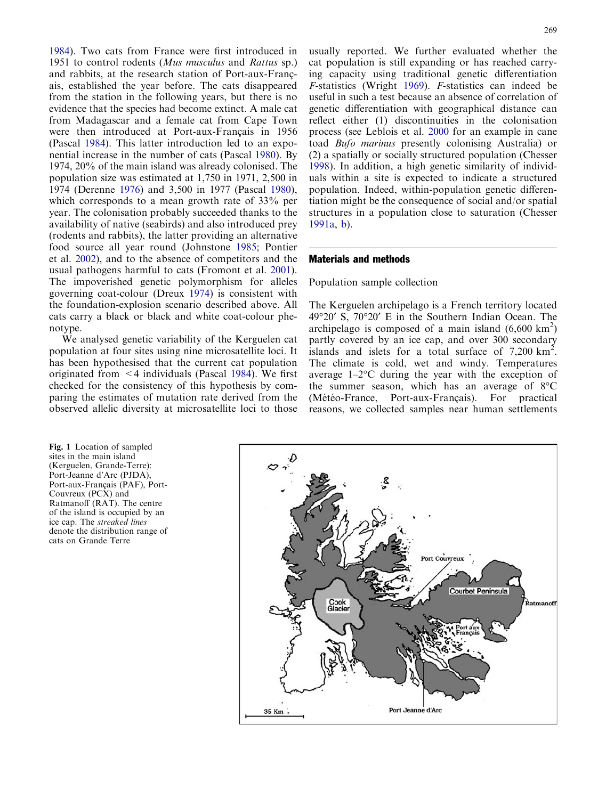<span id="page-1-0"></span>[1984](#page-6-0)). Two cats from France were first introduced in 1951 to control rodents (Mus musculus and Rattus sp.) and rabbits, at the research station of Port-aux-Francais, established the year before. The cats disappeared from the station in the following years, but there is no evidence that the species had become extinct. A male cat from Madagascar and a female cat from Cape Town were then introduced at Port-aux-Français in 1956 (Pascal [1984](#page-6-0)). This latter introduction led to an exponential increase in the number of cats (Pascal [1980\)](#page-6-0). By 1974, 20% of the main island was already colonised. The population size was estimated at 1,750 in 1971, 2,500 in 1974 (Derenne [1976\)](#page-6-0) and 3,500 in 1977 (Pascal [1980\)](#page-6-0), which corresponds to a mean growth rate of 33% per year. The colonisation probably succeeded thanks to the availability of native (seabirds) and also introduced prey (rodents and rabbits), the latter providing an alternative food source all year round (Johnstone [1985;](#page-6-0) Pontier et al. [2002](#page-6-0)), and to the absence of competitors and the usual pathogens harmful to cats (Fromont et al. [2001\)](#page-6-0). The impoverished genetic polymorphism for alleles governing coat-colour (Dreux [1974](#page-6-0)) is consistent with the foundation-explosion scenario described above. All cats carry a black or black and white coat-colour phenotype.

We analysed genetic variability of the Kerguelen cat population at four sites using nine microsatellite loci. It has been hypothesised that the current cat population originated from  $\leq$  4 individuals (Pascal [1984\)](#page-6-0). We first checked for the consistency of this hypothesis by comparing the estimates of mutation rate derived from the observed allelic diversity at microsatellite loci to those

Fig. 1 Location of sampled sites in the main island (Kerguelen, Grande-Terre): Port-Jeanne d'Arc (PJDA), Port-aux-Français (PAF), Port-Couvreux (PCX) and Ratmanoff (RAT). The centre of the island is occupied by an ice cap. The streaked lines denote the distribution range of cats on Grande Terre

usually reported. We further evaluated whether the cat population is still expanding or has reached carrying capacity using traditional genetic differentiation F-statistics (Wright [1969](#page-7-0)). F-statistics can indeed be useful in such a test because an absence of correlation of genetic differentiation with geographical distance can reflect either (1) discontinuities in the colonisation process (see Leblois et al. [2000](#page-6-0) for an example in cane toad Bufo marinus presently colonising Australia) or (2) a spatially or socially structured population (Chesser [1998\)](#page-6-0). In addition, a high genetic similarity of individuals within a site is expected to indicate a structured population. Indeed, within-population genetic differentiation might be the consequence of social and/or spatial structures in a population close to saturation (Chesser [1991a,](#page-6-0) [b](#page-6-0)).

#### Materials and methods

## Population sample collection

The Kerguelen archipelago is a French territory located 49°20′ S, 70°20′ E in the Southern Indian Ocean. The archipelago is composed of a main island  $(6,600 \text{ km}^2)$ partly covered by an ice cap, and over 300 secondary islands and islets for a total surface of  $7,200 \text{ km}^2$ . The climate is cold, wet and windy. Temperatures average  $1-2$ <sup>o</sup>C during the year with the exception of the summer season, which has an average of  $8^{\circ}$ C (Météo-France, Port-aux-Français). For practical reasons, we collected samples near human settlements

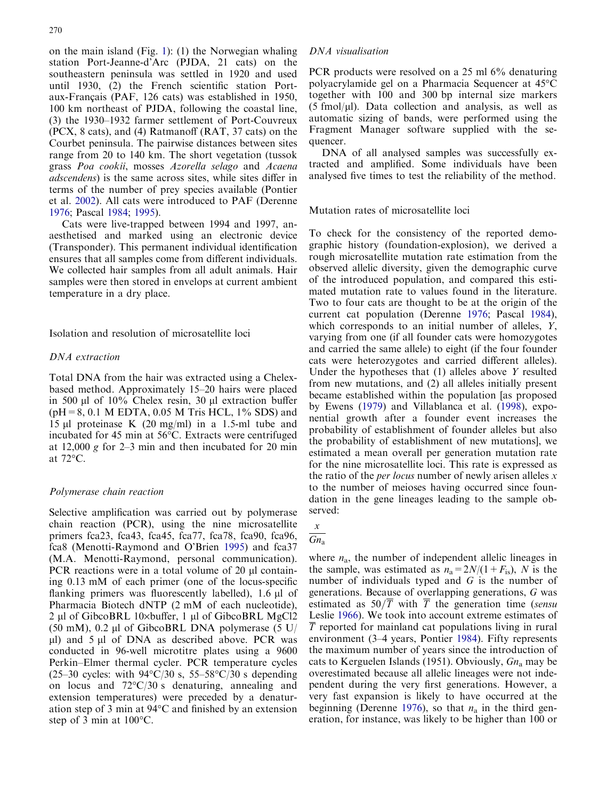on the main island (Fig. [1\): \(1\) the Norwegian whaling](#page-1-0) [station Port-Jeanne-d'Arc \(PJDA, 21 cats\) on the](#page-1-0) [southeastern peninsula was settled in 1920 and used](#page-1-0) [until 1930, \(2\) the French scientific station Port](#page-1-0)aux-Français (PAF, 126 cats) was established in 1950, [100 km northeast of PJDA, following the coastal line,](#page-1-0) [\(3\) the 1930–1932 farmer settlement of Port-Couvreux](#page-1-0) [\(PCX, 8 cats\), and \(4\) Ratmanoff \(RAT, 37 cats\) on the](#page-1-0) [Courbet peninsula. The pairwise distances between sites](#page-1-0) [range from 20 to 140 km. The short vegetation \(tussok](#page-1-0) grass Poa cookii, mosses [Azorella selago](#page-1-0) and Acaena adscendens[\) is the same across sites, while sites differ in](#page-1-0) [terms of the number of prey species available \(Pontier](#page-1-0) [et al.](#page-6-0) 2002). All cats were introduced to PAF (Derenne [1976](#page-6-0); Pascal [1984;](#page-6-0) [1995](#page-6-0)).

Cats were live-trapped between 1994 and 1997, anaesthetised and marked using an electronic device (Transponder). This permanent individual identification ensures that all samples come from different individuals. We collected hair samples from all adult animals. Hair samples were then stored in envelops at current ambient temperature in a dry place.

Isolation and resolution of microsatellite loci

## DNA extraction

Total DNA from the hair was extracted using a Chelexbased method. Approximately 15–20 hairs were placed in 500  $\mu$ l of 10% Chelex resin, 30  $\mu$ l extraction buffer  $(pH=8, 0.1 \text{ M} EDTA, 0.05 \text{ M} Tris HCL, 1\% SDS)$  and 15  $\mu$ l proteinase K (20 mg/ml) in a 1.5-ml tube and incubated for 45 min at 56°C. Extracts were centrifuged at 12,000 g for 2–3 min and then incubated for 20 min at 72°C.

#### Polymerase chain reaction

Selective amplification was carried out by polymerase chain reaction (PCR), using the nine microsatellite primers fca23, fca43, fca45, fca77, fca78, fca90, fca96, fca8 (Menotti-Raymond and O'Brien [1995](#page-6-0)) and fca37 (M.A. Menotti-Raymond, personal communication). PCR reactions were in a total volume of  $20 \mu l$  containing 0.13 mM of each primer (one of the locus-specific flanking primers was fluorescently labelled), 1.6 µl of Pharmacia Biotech dNTP (2 mM of each nucleotide), 2 µl of GibcoBRL 10 $\times$ buffer, 1 µl of GibcoBRL MgCl2 (50 mM), 0.2 µl of GibcoBRL DNA polymerase (5 U/  $\mu$ l) and 5  $\mu$ l of DNA as described above. PCR was conducted in 96-well microtitre plates using a 9600 Perkin–Elmer thermal cycler. PCR temperature cycles  $(25-30 \text{ cycles: with } 94^{\circ}\text{C}/30 \text{ s}, 55-58^{\circ}\text{C}/30 \text{ s depending}$ on locus and  $72^{\circ}C/30$  s denaturing, annealing and extension temperatures) were preceded by a denaturation step of 3 min at  $94^{\circ}$ C and finished by an extension step of 3 min at  $100^{\circ}$ C.

#### DNA visualisation

PCR products were resolved on a 25 ml 6% denaturing polyacrylamide gel on a Pharmacia Sequencer at 45°C together with 100 and 300 bp internal size markers  $(5 \text{ fmol}/\mu l)$ . Data collection and analysis, as well as automatic sizing of bands, were performed using the Fragment Manager software supplied with the sequencer.

DNA of all analysed samples was successfully extracted and amplified. Some individuals have been analysed five times to test the reliability of the method.

Mutation rates of microsatellite loci

To check for the consistency of the reported demographic history (foundation-explosion), we derived a rough microsatellite mutation rate estimation from the observed allelic diversity, given the demographic curve of the introduced population, and compared this estimated mutation rate to values found in the literature. Two to four cats are thought to be at the origin of the current cat population (Derenne [1976;](#page-6-0) Pascal [1984\)](#page-6-0), which corresponds to an initial number of alleles, Y, varying from one (if all founder cats were homozygotes and carried the same allele) to eight (if the four founder cats were heterozygotes and carried different alleles). Under the hypotheses that (1) alleles above Y resulted from new mutations, and (2) all alleles initially present became established within the population [as proposed by Ewens [\(1979\)](#page-6-0) and Villablanca et al. ([1998\)](#page-7-0), exponential growth after a founder event increases the probability of establishment of founder alleles but also the probability of establishment of new mutations], we estimated a mean overall per generation mutation rate for the nine microsatellite loci. This rate is expressed as the ratio of the *per locus* number of newly arisen alleles  $x$ to the number of meioses having occurred since foundation in the gene lineages leading to the sample observed:

# $\boldsymbol{\mathcal{X}}$  $\overline{Gn_a}$

where  $n_a$ , the number of independent allelic lineages in the sample, was estimated as  $n_a = 2N/(1+F_{is})$ , N is the number of individuals typed and  $G$  is the number of generations. Because of overlapping generations, G was estimated as  $50/\overline{T}$  with  $\overline{T}$  the generation time (sensu Leslie [1966\)](#page-6-0). We took into account extreme estimates of  $\overline{T}$  reported for mainland cat populations living in rural environment (3–4 years, Pontier [1984\)](#page-6-0). Fifty represents the maximum number of years since the introduction of cats to Kerguelen Islands (1951). Obviously,  $G_n$  may be overestimated because all allelic lineages were not independent during the very first generations. However, a very fast expansion is likely to have occurred at the beginning (Derenne [1976\)](#page-6-0), so that  $n_a$  in the third generation, for instance, was likely to be higher than 100 or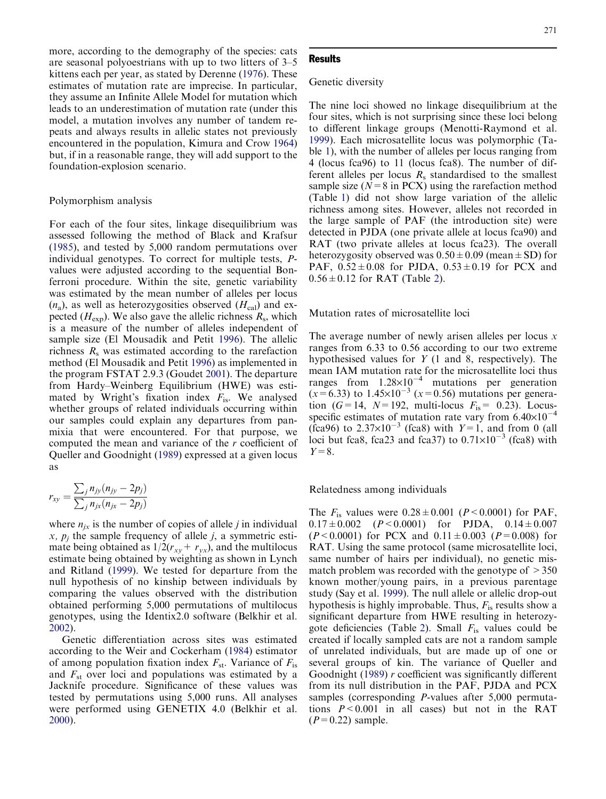more, according to the demography of the species: cats are seasonal polyoestrians with up to two litters of 3–5 kittens each per year, as stated by Derenne ([1976](#page-6-0)). These estimates of mutation rate are imprecise. In particular, they assume an Infinite Allele Model for mutation which leads to an underestimation of mutation rate (under this model, a mutation involves any number of tandem repeats and always results in allelic states not previously encountered in the population, Kimura and Crow [1964\)](#page-6-0) but, if in a reasonable range, they will add support to the foundation-explosion scenario.

#### Polymorphism analysis

For each of the four sites, linkage disequilibrium was assessed following the method of Black and Krafsur ([1985\)](#page-6-0), and tested by 5,000 random permutations over individual genotypes. To correct for multiple tests, Pvalues were adjusted according to the sequential Bonferroni procedure. Within the site, genetic variability was estimated by the mean number of alleles per locus  $(n_a)$ , as well as heterozygosities observed  $(H_{cal})$  and expected  $(H_{\text{exp}})$ . We also gave the allelic richness  $R_s$ , which is a measure of the number of alleles independent of sample size (El Mousadik and Petit [1996\)](#page-6-0). The allelic richness  $R_s$  was estimated according to the rarefaction method (El Mousadik and Petit [1996\)](#page-6-0) as implemented in the program FSTAT 2.9.3 (Goudet [2001](#page-6-0)). The departure from Hardy–Weinberg Equilibrium (HWE) was estimated by Wright's fixation index  $F_{\text{is}}$ . We analysed whether groups of related individuals occurring within our samples could explain any departures from panmixia that were encountered. For that purpose, we computed the mean and variance of the r coefficient of Queller and Goodnight [\(1989](#page-6-0)) expressed at a given locus as

$$
r_{xy} = \frac{\sum_{j} n_{jy} (n_{jy} - 2p_j)}{\sum_{j} n_{jx} (n_{jx} - 2p_j)}
$$

where  $n_{ix}$  is the number of copies of allele *j* in individual x,  $p_i$  the sample frequency of allele *j*, a symmetric estimate being obtained as  $1/2(r_{xy}+ r_{yx})$ , and the multilocus estimate being obtained by weighting as shown in Lynch and Ritland ([1999\)](#page-6-0). We tested for departure from the null hypothesis of no kinship between individuals by comparing the values observed with the distribution obtained performing 5,000 permutations of multilocus genotypes, using the Identix2.0 software (Belkhir et al. [2002](#page-6-0)).

Genetic differentiation across sites was estimated according to the Weir and Cockerham [\(1984](#page-7-0)) estimator of among population fixation index  $F_{st}$ . Variance of  $F_{is}$ and  $F_{st}$  over loci and populations was estimated by a Jacknife procedure. Significance of these values was tested by permutations using 5,000 runs. All analyses were performed using GENETIX 4.0 (Belkhir et al. [2000](#page-6-0)).

#### **Results**

#### Genetic diversity

The nine loci showed no linkage disequilibrium at the four sites, which is not surprising since these loci belong to different linkage groups (Menotti-Raymond et al. [1999\)](#page-6-0). Each microsatellite locus was polymorphic (Table [1\), with the number of alleles per locus ranging from](#page-4-0) [4 \(locus fca96\) to 11 \(locus fca8\). The number of dif](#page-4-0)[ferent alleles per locus](#page-4-0)  $R_s$  [standardised to the smallest](#page-4-0) sample size  $(N=8 \text{ in } PCX)$  using the rarefaction method (Table [1\) did not show large variation of the allelic](#page-4-0) [richness among sites. However, alleles not recorded in](#page-4-0) [the large sample of PAF \(the introduction site\) were](#page-4-0) [detected in PJDA \(one private allele at locus fca90\) and](#page-4-0) [RAT \(two private alleles at locus fca23\). The overall](#page-4-0) heterozygosity observed was  $0.50 \pm 0.09$  (mean  $\pm$  SD) for PAF,  $0.52 \pm 0.08$  for PJDA,  $0.53 \pm 0.19$  for PCX and  $0.56 \pm 0.12$  for RAT (Table 2).

Mutation rates of microsatellite loci

The average number of newly arisen alleles per locus  $x$ ranges from 6.33 to 0.56 according to our two extreme hypothesised values for  $Y$  (1 and 8, respectively). The mean IAM mutation rate for the microsatellite loci thus ranges from  $1.28 \times 10^{-4}$  mutations per generation  $(x=6.33)$  to  $1.45\times10^{-3}$   $(x=0.56)$  mutations per generation ( $G=14$ ,  $N=192$ , multi-locus  $F_{is}$  = 0.23). Locusspecific estimates of mutation rate vary from  $6.40\times10^{-4}$ (fca96) to  $2.37\times10^{-3}$  (fca8) with  $Y=1$ , and from 0 (all loci but fca8, fca23 and fca37) to  $0.71\times10^{-3}$  (fca8) with  $Y=8$ .

Relatedness among individuals

The  $F_{\text{is}}$  values were  $0.28 \pm 0.001$  (P < 0.0001) for PAF,  $0.17 \pm 0.002$   $(P < 0.0001)$  for PJDA,  $0.14 \pm 0.007$  $(P<0.0001)$  for PCX and  $0.11 \pm 0.003$   $(P=0.008)$  for RAT. Using the same protocol (same microsatellite loci, same number of hairs per individual), no genetic mismatch problem was recorded with the genotype of  $>350$ known mother/young pairs, in a previous parentage study (Say et al. [1999\)](#page-6-0). The null allele or allelic drop-out hypothesis is highly improbable. Thus,  $F_{\text{is}}$  results show a significant departure from HWE resulting in heterozy-gote deficiencies (Table [2\). Small](#page-5-0)  $F_{\text{is}}$  [values could be](#page-5-0) [created if locally sampled cats are not a random sample](#page-5-0) [of unrelated individuals, but are made up of one or](#page-5-0) [several groups of kin. The variance of Queller and](#page-5-0) [Goodnight \(1989](#page-6-0)) r coefficient was significantly different from its null distribution in the PAF, PJDA and PCX samples (corresponding P-values after 5,000 permutations  $P < 0.001$  in all cases) but not in the RAT  $(P=0.22)$  sample.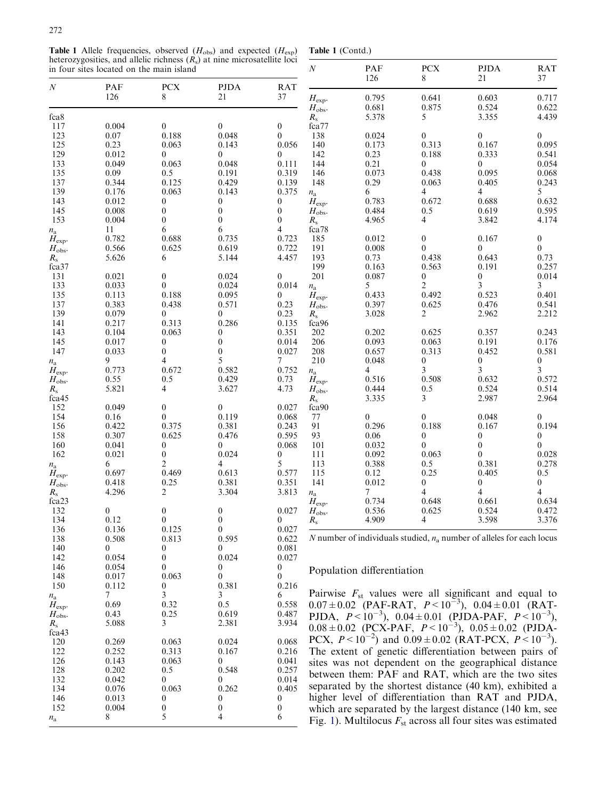<span id="page-4-0"></span>**Table 1** Allele frequencies, observed  $(H_{obs})$  and expected  $(H_{exp})$ heterozygosities, and allelic richness  $(R_s)$  at nine microsatellite loci

|  | Table 1 (Contd.) |
|--|------------------|
|--|------------------|

|                    | in four sites located on the main island |                  |                   |                  | $\boldsymbol{N}$     | PAF<br>126                 | ${\mbox{PCX}}$<br>8          | <b>PJDA</b><br>21                                                       | <b>RAT</b><br>37                     |
|--------------------|------------------------------------------|------------------|-------------------|------------------|----------------------|----------------------------|------------------------------|-------------------------------------------------------------------------|--------------------------------------|
| $\boldsymbol{N}$   | PAF<br>126                               | <b>PCX</b><br>8  | <b>PJDA</b><br>21 | <b>RAT</b><br>37 | $H_{\rm exp}.$       | 0.795                      | 0.641                        | 0.603                                                                   | 0.717                                |
| fca <sub>8</sub>   |                                          |                  |                   |                  | $H_{\rm obs.}$       | 0.681<br>5.378             | 0.875<br>5                   | 0.524<br>3.355                                                          | 0.622<br>4.439                       |
| 117                | 0.004                                    | $\boldsymbol{0}$ | $\mathbf{0}$      | $\overline{0}$   | $R_{\rm s}$<br>fca77 |                            |                              |                                                                         |                                      |
| 123                | 0.07                                     | 0.188            | 0.048             | $\overline{0}$   | 138                  | 0.024                      | $\overline{0}$               | $\overline{0}$                                                          | 0                                    |
| 125                | 0.23                                     | 0.063            | 0.143             | 0.056            | 140                  | 0.173                      | 0.313                        | 0.167                                                                   | 0.095                                |
| 129                | 0.012                                    | 0                | $\theta$          | $\overline{0}$   | 142                  | 0.23                       | 0.188                        | 0.333                                                                   | 0.541                                |
| 133                | 0.049                                    | 0.063            | 0.048             | 0.111            | 144                  | 0.21                       | $\overline{0}$               | $\overline{0}$                                                          | 0.054                                |
| 135                | 0.09                                     | 0.5              | 0.191             | 0.319            | 146                  | 0.073                      | 0.438                        | 0.095                                                                   | 0.068                                |
| 137                | 0.344                                    | 0.125            | 0.429             | 0.139            | 148                  | 0.29                       | 0.063                        | 0.405                                                                   | 0.243                                |
| 139                | 0.176                                    | 0.063            | 0.143             | 0.375            |                      | 6                          | $\overline{4}$               | 4                                                                       | 5                                    |
| 143                | 0.012                                    | 0                | $\mathbf{0}$      | $\overline{0}$   | $n_{\rm a}$          | 0.783                      | 0.672                        | 0.688                                                                   | 0.632                                |
|                    | 0.008                                    | $\overline{0}$   | $\overline{0}$    | $\overline{0}$   | $H_{\rm exp}.$       | 0.484                      |                              |                                                                         |                                      |
| 145<br>153         | 0.004                                    | $\theta$         | $\theta$          | $\overline{0}$   | $H_{\rm obs}.$       | 4.965                      | 0.5<br>4                     | 0.619<br>3.842                                                          | 0.595<br>4.174                       |
|                    |                                          | 6                | 6                 | 4                | $R_{\rm s}$          |                            |                              |                                                                         |                                      |
| $n_{\rm a}$        | 11                                       | 0.688            | 0.735             | 0.723            | fca78<br>185         | 0.012                      |                              | 0.167                                                                   |                                      |
| $H_{\text{exp}}$ . | 0.782                                    | 0.625            |                   |                  |                      |                            | $\boldsymbol{0}$<br>$\Omega$ |                                                                         | $\boldsymbol{0}$<br>$\boldsymbol{0}$ |
| $H_{\rm obs}.$     | 0.566                                    |                  | 0.619             | 0.722            | 191                  | 0.008                      |                              | 0                                                                       |                                      |
| $R_{\rm s}$        | 5.626                                    | 6                | 5.144             | 4.457            | 193                  | 0.73                       | 0.438                        | 0.643                                                                   | 0.73                                 |
| fca37              |                                          |                  |                   |                  | 199                  | 0.163                      | 0.563                        | 0.191                                                                   | 0.257                                |
| 131                | 0.021                                    | $\overline{0}$   | 0.024             | $\mathbf{0}$     | 201                  | 0.087                      | $\overline{0}$               | $\boldsymbol{0}$                                                        | 0.014                                |
| 133                | 0.033                                    | $\theta$         | 0.024             | 0.014            | $n_{\rm a}$          | 5                          | $\mathfrak{2}$               | 3                                                                       | 3                                    |
| 135                | 0.113                                    | 0.188            | 0.095             | $\overline{0}$   | $H_{\rm exp}$ .      | 0.433                      | 0.492                        | 0.523                                                                   | 0.401                                |
| 137                | 0.383                                    | 0.438            | 0.571             | 0.23             | $H_{\rm obs}.$       | 0.397                      | 0.625                        | 0.476                                                                   | 0.541                                |
| 139                | 0.079                                    | 0                | $\mathbf{0}$      | 0.23             | $R_{\rm s}$          | 3.028                      | $\overline{c}$               | 2.962                                                                   | 2.212                                |
| 141                | 0.217                                    | 0.313            | 0.286             | 0.135            | fca96                |                            |                              |                                                                         |                                      |
| 143                | 0.104                                    | 0.063            | 0                 | 0.351            | 202                  | 0.202                      | 0.625                        | 0.357                                                                   | 0.243                                |
| 145                | 0.017                                    | 0                | $\overline{0}$    | 0.014            | 206                  | 0.093                      | 0.063                        | 0.191                                                                   | 0.176                                |
| 147                | 0.033                                    | $\overline{0}$   | $\overline{0}$    | 0.027            | 208                  | 0.657                      | 0.313                        | 0.452                                                                   | 0.581                                |
| $n_{\rm a}$        | 9                                        | 4                | 5                 | 7                | 210                  | 0.048                      | $\theta$                     | $\boldsymbol{0}$                                                        | $\boldsymbol{0}$                     |
| $H_{\rm exp}$ .    | 0.773                                    | 0.672            | 0.582             | 0.752            | $n_{\rm a}$          | 4                          | 3                            | 3                                                                       | 3                                    |
| $H_{\rm obs}.$     | 0.55                                     | 0.5              | 0.429             | 0.73             | $H_{\rm exp}.$       | 0.516                      | 0.508                        | 0.632                                                                   | 0.572                                |
| $R_{\rm s}$        | 5.821                                    | 4                | 3.627             | 4.73             | $H_{\rm obs}.$       | 0.444                      | 0.5                          | 0.524                                                                   | 0.514                                |
| fca45              |                                          |                  |                   |                  | $R_{\rm s}$          | 3.335                      | 3                            | 2.987                                                                   | 2.964                                |
| 152                | 0.049                                    | $\boldsymbol{0}$ | $\theta$          | 0.027            | fca90                |                            |                              |                                                                         |                                      |
| 154                | 0.16                                     | $\theta$         | 0.119             | 0.068            | 77                   | $\overline{0}$             | $\mathbf{0}$                 | 0.048                                                                   | $\overline{0}$                       |
| 156                | 0.422                                    | 0.375            | 0.381             | 0.243            | 91                   | 0.296                      | 0.188                        | 0.167                                                                   | 0.194                                |
| 158                | 0.307                                    | 0.625            | 0.476             | 0.595            | 93                   | 0.06                       | $\boldsymbol{0}$             | $\boldsymbol{0}$                                                        | $\boldsymbol{0}$                     |
| 160                | 0.041                                    | $\mathbf{0}$     | $\theta$          | 0.068            | 101                  | 0.032                      | $\theta$                     | $\overline{0}$                                                          | $\overline{0}$                       |
| 162                | 0.021                                    | $\boldsymbol{0}$ | 0.024             | $\overline{0}$   | 111                  | 0.092                      | 0.063                        | $\overline{0}$                                                          | 0.028                                |
| $n_{\rm a}$        | 6                                        | 2                | 4                 | 5                | 113                  | 0.388                      | 0.5                          | 0.381                                                                   | 0.278                                |
| $H_{\rm exp}.$     | 0.697                                    | 0.469            | 0.613             | 0.577            | 115                  | 0.12                       | 0.25                         | 0.405                                                                   | 0.5                                  |
| $H_{\rm obs.}$     | 0.418                                    | 0.25             | 0.381             | 0.351            | 141                  | 0.012                      | $\theta$                     | $\boldsymbol{0}$                                                        | 0                                    |
| $R_{\rm s}$        | 4.296                                    | 2                | 3.304             | 3.813            | $n_{\rm a}$          | 7                          | $\overline{4}$               | 4                                                                       | 4                                    |
| fca23              |                                          |                  |                   |                  | $H_{\rm exp.}$       | 0.734                      | 0.648                        | 0.661                                                                   | 0.634                                |
| 132                | $\overline{0}$                           | $\mathbf{0}$     | $\theta$          | 0.027            | $H_{\rm obs}.$       | 0.536                      | 0.625                        | 0.524                                                                   | 0.472                                |
| 134                | 0.12                                     | $\boldsymbol{0}$ | $\boldsymbol{0}$  | $\boldsymbol{0}$ | $R_{\rm s}$          | 4.909                      | 4                            | 3.598                                                                   | 3.376                                |
| 136                | 0.136                                    | 0.125            | $\boldsymbol{0}$  | 0.027            |                      |                            |                              |                                                                         |                                      |
| 138                | 0.508                                    | 0.813            | 0.595             | 0.622            |                      |                            |                              | N number of individuals studied, $n_a$ number of alleles for each locus |                                      |
| 140                | $\boldsymbol{0}$                         | 0                | $\mathbf{0}$      | 0.081            |                      |                            |                              |                                                                         |                                      |
| 142                | 0.054                                    | 0                | 0.024             | 0.027            |                      |                            |                              |                                                                         |                                      |
| 146                | 0.054                                    | 0                | 0                 | $\boldsymbol{0}$ |                      | Population differentiation |                              |                                                                         |                                      |
| 148                | 0.017                                    | 0.063            | 0                 | $\Omega$         |                      |                            |                              |                                                                         |                                      |
| 150                | 0.112                                    | 0                | 0.381             | 0.216            |                      |                            |                              |                                                                         |                                      |
| $n_{\rm a}$        | 7                                        | 3                | 3                 | 6                |                      |                            |                              | Pairwise $F_{st}$ values were all significant and equal to              |                                      |
| $H_{\rm exp}.$     | 0.69                                     | 0.32             | 0.5               | 0.558            |                      |                            |                              | $0.07 \pm 0.02$ (PAF-RAT, $P < 10^{-3}$ ), $0.04 \pm 0.01$ (RAT-        |                                      |
| $H_{\rm obs}.$     | 0.43                                     | 0.25             | 0.619             | 0.487            |                      |                            |                              | PJDA, $P < 10^{-3}$ ), $0.04 \pm 0.01$ (PJDA-PAF, $P < 10^{-3}$ ),      |                                      |
| $R_{\rm s}$        | 5.088                                    | 3                | 2.381             | 3.934            |                      |                            |                              | $0.08 \pm 0.02$ (PCX-PAF, $P < 10^{-3}$ ), $0.05 \pm 0.02$ (PJDA-       |                                      |
| fca43              |                                          |                  |                   |                  |                      |                            |                              |                                                                         |                                      |
| 120                | 0.269                                    | 0.063            | 0.024             | 0.068            |                      |                            |                              | PCX, $P < 10^{-2}$ ) and $0.09 \pm 0.02$ (RAT-PCX, $P < 10^{-3}$ ).     |                                      |
| 122                | 0.252                                    | 0.313            | 0.167             | 0.216            |                      |                            |                              | The extent of genetic differentiation between pairs of                  |                                      |
| 126                | 0.143                                    | 0.063            | 0                 | 0.041            |                      |                            |                              | sites was not dependent on the geographical distance                    |                                      |
| 128                | 0.202                                    | 0.5              | 0.548             | 0.257            |                      |                            |                              |                                                                         |                                      |
| 132                | 0.042                                    | 0                | 0                 | 0.014            |                      |                            |                              | between them: PAF and RAT, which are the two sites                      |                                      |
| 134                | 0.076                                    | 0.063            | 0.262             | 0.405            |                      |                            |                              | separated by the shortest distance (40 km), exhibited a                 |                                      |
| 146                | 0.013                                    | 0                | 0                 | $\overline{0}$   |                      |                            |                              | higher level of differentiation than RAT and PJDA,                      |                                      |
| 152                | 0.004                                    | $\boldsymbol{0}$ | $\boldsymbol{0}$  | $\boldsymbol{0}$ |                      |                            |                              | which are separated by the largest distance (140 km, see                |                                      |
|                    | 8                                        | 5                | 4                 | 6                |                      |                            |                              |                                                                         |                                      |
| $n_{\rm a}$        |                                          |                  |                   |                  |                      |                            |                              | Fig. 1). Multilocus $F_{st}$ across all four sites was estimated        |                                      |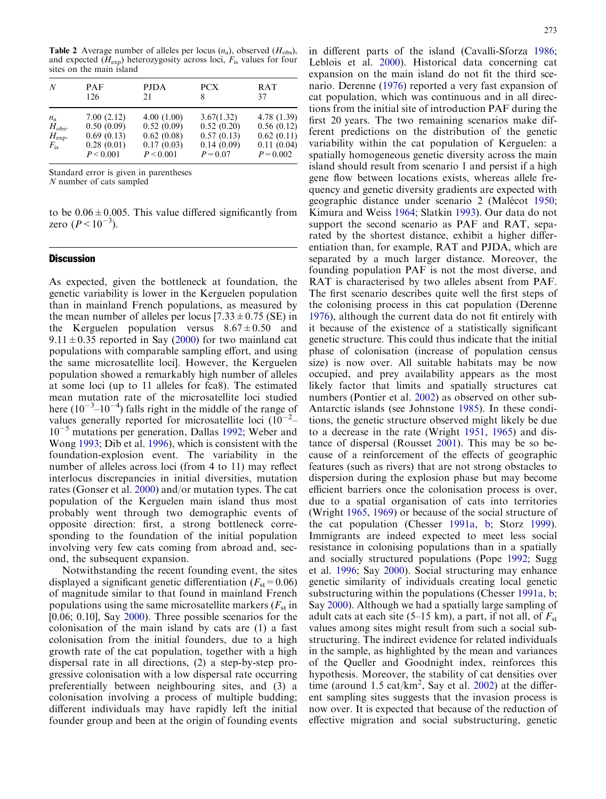<span id="page-5-0"></span>**Table 2** Average number of alleles per locus  $(n_a)$ , observed  $(H_{obs})$ , and expected  $(H_{\text{exp}})$  heterozygosity across loci,  $F_{\text{is}}$  values for four sites on the main island

| N                                                                    | <b>PAF</b>                                                        | <b>PJDA</b>                                                       | <b>PCX</b>                                                         | RAT                                                                  |
|----------------------------------------------------------------------|-------------------------------------------------------------------|-------------------------------------------------------------------|--------------------------------------------------------------------|----------------------------------------------------------------------|
|                                                                      | 126                                                               | 21                                                                | 8                                                                  | 37                                                                   |
| $n_{\rm a}$<br>$H_{\rm obs}$ .<br>$H_{\text{exp}}$ .<br>$F_{\rm is}$ | 7.00(2.12)<br>0.50(0.09)<br>0.69(0.13)<br>0.28(0.01)<br>P < 0.001 | 4.00(1.00)<br>0.52(0.09)<br>0.62(0.08)<br>0.17(0.03)<br>P < 0.001 | 3.67(1.32)<br>0.52(0.20)<br>0.57(0.13)<br>0.14(0.09)<br>$P = 0.07$ | 4.78 (1.39)<br>0.56(0.12)<br>0.62(0.11)<br>0.11(0.04)<br>$P = 0.002$ |

Standard error is given in parentheses

N number of cats sampled

to be  $0.06 \pm 0.005$ . This value differed significantly from zero  $(P < 10^{-3})$  $(P < 10^{-3})$  $(P < 10^{-3})$ .

#### **Discussion**

As expected, given the bottleneck at foundation, the genetic variability is lower in the Kerguelen population than in mainland French populations, as measured by the mean number of alleles per locus  $[7.33 \pm 0.75$  (SE) in the Kerguelen population versus  $8.67 \pm 0.50$  and  $9.11 \pm 0.35$  reported in Say [\(2000](#page-6-0)) for two mainland cat populations with comparable sampling effort, and using the same microsatellite loci]. However, the Kerguelen population showed a remarkably high number of alleles at some loci (up to 11 alleles for fca8). The estimated mean mutation rate of the microsatellite loci studied here  $(10^{-3}$ - $10^{-4})$  falls right in the middle of the range of values generally reported for microsatellite loci  $(10^{-2} 10^{-5}$  mutations per generation, Dallas [1992](#page-6-0); Weber and Wong [1993](#page-7-0); Dib et al. [1996](#page-6-0)), which is consistent with the foundation-explosion event. The variability in the number of alleles across loci (from 4 to 11) may reflect interlocus discrepancies in initial diversities, mutation rates (Gonser et al. [2000\)](#page-6-0) and/or mutation types. The cat population of the Kerguelen main island thus most probably went through two demographic events of opposite direction: first, a strong bottleneck corresponding to the foundation of the initial population involving very few cats coming from abroad and, second, the subsequent expansion.

Notwithstanding the recent founding event, the sites displayed a significant genetic differentiation ( $F_{\text{st}}=0.06$ ) of magnitude similar to that found in mainland French populations using the same microsatellite markers ( $F_{st}$  in [0.06; 0.10], Say [2000](#page-6-0)). Three possible scenarios for the colonisation of the main island by cats are (1) a fast colonisation from the initial founders, due to a high growth rate of the cat population, together with a high dispersal rate in all directions, (2) a step-by-step progressive colonisation with a low dispersal rate occurring preferentially between neighbouring sites, and (3) a colonisation involving a process of multiple budding; different individuals may have rapidly left the initial founder group and been at the origin of founding events in different parts of the island (Cavalli-Sforza [1986](#page-6-0); Leblois et al. [2000\)](#page-6-0). Historical data concerning cat expansion on the main island do not fit the third scenario. Derenne ([1976\)](#page-6-0) reported a very fast expansion of cat population, which was continuous and in all directions from the initial site of introduction PAF during the first 20 years. The two remaining scenarios make different predictions on the distribution of the genetic variability within the cat population of Kerguelen: a spatially homogeneous genetic diversity across the main island should result from scenario 1 and persist if a high gene flow between locations exists, whereas allele frequency and genetic diversity gradients are expected with geographic distance under scenario 2 (Malécot [1950](#page-6-0); Kimura and Weiss [1964;](#page-6-0) Slatkin [1993](#page-7-0)). Our data do not support the second scenario as PAF and RAT, separated by the shortest distance, exhibit a higher differentiation than, for example, RAT and PJDA, which are separated by a much larger distance. Moreover, the founding population PAF is not the most diverse, and RAT is characterised by two alleles absent from PAF. The first scenario describes quite well the first steps of the colonising process in this cat population (Derenne [1976\)](#page-6-0), although the current data do not fit entirely with it because of the existence of a statistically significant genetic structure. This could thus indicate that the initial phase of colonisation (increase of population census size) is now over. All suitable habitats may be now occupied, and prey availability appears as the most likely factor that limits and spatially structures cat numbers (Pontier et al. [2002](#page-6-0)) as observed on other sub-Antarctic islands (see Johnstone [1985](#page-6-0)). In these conditions, the genetic structure observed might likely be due to a decrease in the rate (Wright [1951](#page-7-0), [1965](#page-7-0)) and distance of dispersal (Rousset [2001\)](#page-6-0). This may be so because of a reinforcement of the effects of geographic features (such as rivers) that are not strong obstacles to dispersion during the explosion phase but may become efficient barriers once the colonisation process is over, due to a spatial organisation of cats into territories (Wright [1965,](#page-7-0) [1969](#page-7-0)) or because of the social structure of the cat population (Chesser [1991a](#page-6-0), [b](#page-6-0); Storz [1999\)](#page-7-0). Immigrants are indeed expected to meet less social resistance in colonising populations than in a spatially and socially structured populations (Pope [1992](#page-6-0); Sugg et al. [1996](#page-7-0); Say [2000](#page-6-0)). Social structuring may enhance genetic similarity of individuals creating local genetic substructuring within the populations (Chesser [1991a](#page-6-0), [b](#page-6-0); Say [2000\)](#page-6-0). Although we had a spatially large sampling of adult cats at each site (5–15 km), a part, if not all, of  $F_{st}$ values among sites might result from such a social substructuring. The indirect evidence for related individuals in the sample, as highlighted by the mean and variances of the Queller and Goodnight index, reinforces this hypothesis. Moreover, the stability of cat densities over time (around  $1.5 \text{ cat/km}^2$ , Say et al. [2002](#page-7-0)) at the different sampling sites suggests that the invasion process is now over. It is expected that because of the reduction of effective migration and social substructuring, genetic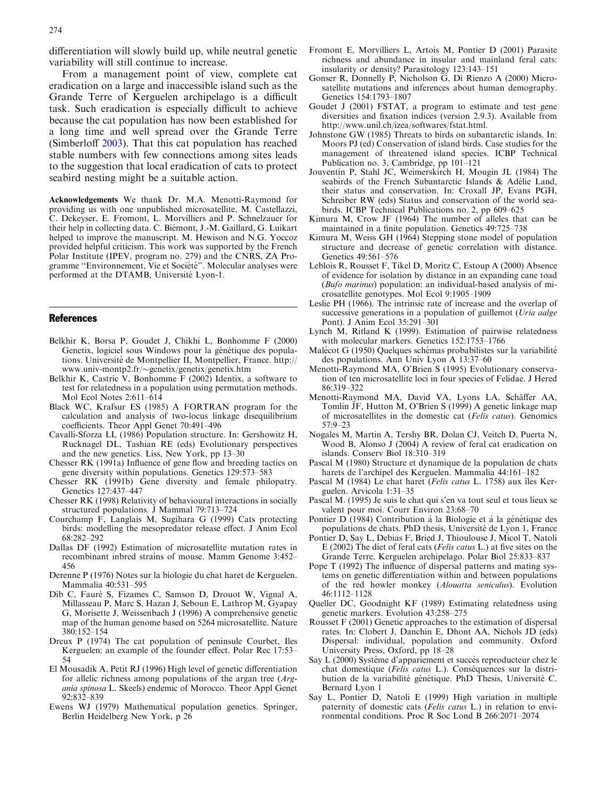<span id="page-6-0"></span>differentiation will slowly build up, while neutral genetic variability will still continue to increase.

From a management point of view, complete cat eradication on a large and inaccessible island such as the Grande Terre of Kerguelen archipelago is a difficult task. Such eradication is especially difficult to achieve because the cat population has now been established for a long time and well spread over the Grande Terre (Simberloff [2003](#page-7-0)). That this cat population has reached stable numbers with few connections among sites leads to the suggestion that local eradication of cats to protect seabird nesting might be a suitable action.

Acknowledgements We thank Dr. M.A. Menotti-Raymond for providing us with one unpublished microsatellite, M. Castellazzi, C. Dekeyser, E. Fromont, L. Morvilliers and P. Schnelzauer for their help in collecting data. C. Biémont, J.-M. Gaillard, G. Luikart helped to improve the manuscript. M. Hewison and N.G. Yoccoz provided helpful criticism. This work was supported by the French Polar Institute (IPEV, program no. 279) and the CNRS, ZA Programme "Environnement, Vie et Société". Molecular analyses were performed at the DTAMB, Université Lyon-1.

#### References

- Belkhir K, Borsa P, Goudet J, Chikhi L, Bonhomme F (2000) Genetix, logiciel sous Windows pour la génétique des populations. Université de Montpellier II, Montpellier, France. http:// www.univ-montp2.fr/-genetix/genetix/genetix.htm
- Belkhir K, Castric V, Bonhomme F (2002) Identix, a software to test for relatedness in a population using permutation methods. Mol Ecol Notes 2:611–614
- Black WC, Krafsur ES (1985) A FORTRAN program for the calculation and analysis of two-locus linkage disequilibrium coefficients. Theor Appl Genet 70:491–496
- Cavalli-Sforza LL (1986) Population structure. In: Gershowitz H, Rucknagel DL, Tashian RE (eds) Evolutionary perspectives and the new genetics. Liss, New York, pp 13–30
- Chesser RK (1991a) Influence of gene flow and breeding tactics on gene diversity within populations. Genetics 129:573–583
- Chesser RK (1991b) Gene diversity and female philopatry. Genetics 127:437–447
- Chesser RK (1998) Relativity of behavioural interactions in socially structured populations. J Mammal 79:713–724
- Courchamp F, Langlais M, Sugihara G (1999) Cats protecting birds: modelling the mesopredator release effect. J Anim Ecol 68:282–292
- Dallas DF (1992) Estimation of microsatellite mutation rates in recombinant inbred strains of mouse. Mamm Genome 3:452– 456
- Derenne P (1976) Notes sur la biologie du chat haret de Kerguelen. Mammalia 40:531–595
- Dib C, Fauré S, Fizames C, Samson D, Drouot W, Vignal A, Millasseau P, Marc S, Hazan J, Seboun E, Lathrop M, Gyapay G, Morisette J, Weissenbach J (1996) A comprehensive genetic map of the human genome based on 5264 microsatellite. Nature 380:152–154
- Dreux P (1974) The cat population of peninsule Courbet, Iles Kerguelen: an example of the founder effect. Polar Rec 17:53– 54
- El Mousadik A, Petit RJ (1996) High level of genetic differentiation for allelic richness among populations of the argan tree (Argania spinosa L. Skeels) endemic of Morocco. Theor Appl Genet 92:832–839
- Ewens WJ (1979) Mathematical population genetics. Springer, Berlin Heidelberg New York, p 26
- Fromont E, Morvilliers L, Artois M, Pontier D (2001) Parasite richness and abundance in insular and mainland feral cats: insularity or density? Parasitology 123:143–151
- Gonser R, Donnelly P, Nicholson G, Di Rienzo A (2000) Microsatellite mutations and inferences about human demography. Genetics 154:1793–1807
- Goudet J (2001) FSTAT, a program to estimate and test gene diversities and fixation indices (version 2.9.3). Available from http://www.unil.ch/izea/softwares/fstat.html.
- Johnstone GW (1985) Threats to birds on subantarctic islands. In: Moors PJ (ed) Conservation of island birds. Case studies for the management of threatened island species. ICBP Technical Publication no. 3, Cambridge, pp 101–121
- Jouventin P, Stahl JC, Weimerskirch H, Mougin JL (1984) The seabirds of the French Subantarctic Islands & Adélie Land, their status and conservation. In: Croxall JP, Evans PGH, Schreiber RW (eds) Status and conservation of the world seabirds. ICBP Technical Publications no. 2, pp 609–625
- Kimura M, Crow JF (1964) The number of alleles that can be maintained in a finite population. Genetics 49:725–738
- Kimura M, Weiss GH (1964) Stepping stone model of population structure and decrease of genetic correlation with distance. Genetics 49:561–576
- Leblois R, Rousset F, Tikel D, Moritz C, Estoup A (2000) Absence of evidence for isolation by distance in an expanding cane toad (Bufo marinus) population: an individual-based analysis of microsatellite genotypes. Mol Ecol 9:1905–1909
- Leslie PH (1966). The intrinsic rate of increase and the overlap of successive generations in a population of guillemot (Uria aalge Pont). J Anim Ecol 35:291–301
- Lynch M, Ritland K (1999). Estimation of pairwise relatedness with molecular markers. Genetics 152:1753–1766
- Malécot G (1950) Quelques schémas probabilistes sur la variabilité des populations. Ann Univ Lyon A 13:37–60
- Menotti-Raymond MA, O'Brien S (1995) Evolutionary conservation of ten microsatellite loci in four species of Felidae. J Hered 86:319–322
- Menotti-Raymond MA, David VA, Lyons LA, Schäffer AA, Tomlin JF, Hutton M, O'Brien S (1999) A genetic linkage map of microsatellites in the domestic cat (Felis catus). Genomics 57:9–23
- Nogales M, Martin A, Tershy BR, Dolan CJ, Veitch D, Puerta N, Wood B, Alonso J (2004) A review of feral cat eradication on islands. Conserv Biol 18:310–319
- Pascal M (1980) Structure et dynamique de la population de chats harets de l'archipel des Kerguelen. Mammalia 44:161–182
- Pascal M (1984) Le chat haret (Felis catus L. 1758) aux îles Kerguelen. Arvicola 1:31–35
- Pascal M. (1995) Je suis le chat qui s'en va tout seul et tous lieux se valent pour moi. Courr Environ 23:68–70
- Pontier  $D(1984)$  Contribution à la Biologie et à la génétique des populations de chats. PhD thesis, Université de Lyon 1, France
- Pontier D, Say L, Debias F, Bried J, Thioulouse J, Micol T, Natoli E (2002) The diet of feral cats (Felis catus L.) at five sites on the Grande Terre, Kerguelen archipelago. Polar Biol 25:833–837
- Pope T (1992) The influence of dispersal patterns and mating systems on genetic differentiation within and between populations of the red howler monkey (Alouatta seniculus). Evolution 46:1112–1128
- Queller DC, Goodnight KF (1989) Estimating relatedness using genetic markers. Evolution 43:258–275
- Rousset F (2001) Genetic approaches to the estimation of dispersal rates. In: Clobert J, Danchin E, Dhont AA, Nichols JD (eds) Dispersal: individual, population and community. Oxford University Press, Oxford, pp 18–28
- Say L (2000) Système d'appariement et succès reproducteur chez le chat domestique (Felis catus L.). Conséquences sur la distribution de la variabilité génétique. PhD Thesis, Université C. Bernard Lyon 1
- Say L, Pontier D, Natoli E (1999) High variation in multiple paternity of domestic cats (Felis catus L.) in relation to environmental conditions. Proc R Soc Lond B 266:2071–2074